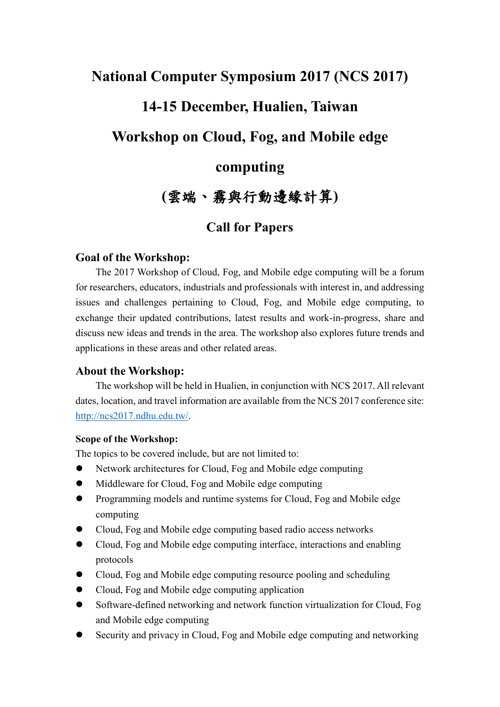# **National Computer Symposium 2017 (NCS 2017) 14-15 December, Hualien, Taiwan Workshop on Cloud, Fog, and Mobile edge computing**

## **(**雲端、霧與行動邊緣計算**)**

### **Call for Papers**

#### **Goal of the Workshop:**

The 2017 Workshop of Cloud, Fog, and Mobile edge computing will be a forum for researchers, educators, industrials and professionals with interest in, and addressing issues and challenges pertaining to Cloud, Fog, and Mobile edge computing, to exchange their updated contributions, latest results and work-in-progress, share and discuss new ideas and trends in the area. The workshop also explores future trends and applications in these areas and other related areas.

#### **About the Workshop:**

The workshop will be held in Hualien, in conjunction with NCS 2017. All relevant dates, location, and travel information are available from the NCS 2017 conference site: [http://ncs2017.ndhu.edu.tw/.](http://ncs2017.ndhu.edu.tw/)

#### **Scope of the Workshop:**

The topics to be covered include, but are not limited to:

- Network architectures for Cloud, Fog and Mobile edge computing
- Middleware for Cloud, Fog and Mobile edge computing
- Programming models and runtime systems for Cloud, Fog and Mobile edge computing
- Cloud, Fog and Mobile edge computing based radio access networks
- Cloud, Fog and Mobile edge computing interface, interactions and enabling protocols
- Cloud, Fog and Mobile edge computing resource pooling and scheduling
- Cloud, Fog and Mobile edge computing application
- Software-defined networking and network function virtualization for Cloud, Fog and Mobile edge computing
- Security and privacy in Cloud, Fog and Mobile edge computing and networking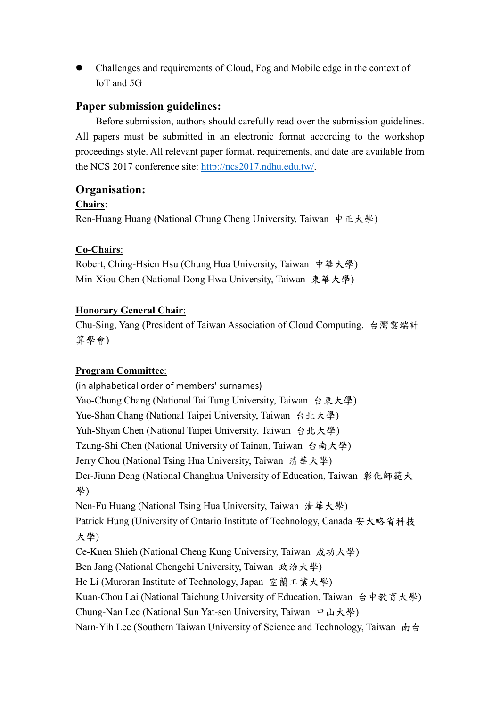Challenges and requirements of Cloud, Fog and Mobile edge in the context of IoT and 5G

#### **Paper submission guidelines:**

Before submission, authors should carefully read over the submission guidelines. All papers must be submitted in an electronic format according to the workshop proceedings style. All relevant paper format, requirements, and date are available from the NCS 2017 conference site: [http://ncs2017.ndhu.edu.tw/.](http://ncs2017.ndhu.edu.tw/)

#### **Organisation:**

#### **Chairs**:

Ren-Huang Huang (National Chung Cheng University, Taiwan 中正大學)

#### **Co-Chairs**:

Robert, Ching-Hsien Hsu (Chung Hua University, Taiwan 中華大學) Min-Xiou Chen (National Dong Hwa University, Taiwan 東華大學)

#### **Honorary General Chair**:

Chu-Sing, Yang (President of Taiwan Association of Cloud Computing, 台灣雲端計 算學會)

#### **Program Committee**:

(in alphabetical order of members' surnames) Yao-Chung Chang (National Tai Tung University, Taiwan 台東大學) Yue-Shan Chang (National Taipei University, Taiwan 台北大學) Yuh-Shyan Chen (National Taipei University, Taiwan 台北大學) Tzung-Shi Chen (National University of Tainan, Taiwan 台南大學) Jerry Chou (National Tsing Hua University, Taiwan 清華大學) Der-Jiunn Deng (National Changhua University of Education, Taiwan 彰化師範大 學) Nen-Fu Huang (National Tsing Hua University, Taiwan 清華大學) Patrick Hung (University of Ontario Institute of Technology, Canada 安大略省科技 大學) Ce-Kuen Shieh (National Cheng Kung University, Taiwan 成功大學) Ben Jang (National Chengchi University, Taiwan 政治大學) He Li (Muroran Institute of Technology, Japan 室蘭工業大學) Kuan-Chou Lai (National Taichung University of Education, Taiwan 台中教育大學) Chung-Nan Lee (National Sun Yat-sen University, Taiwan 中山大學) Narn-Yih Lee (Southern Taiwan University of Science and Technology, Taiwan 南台